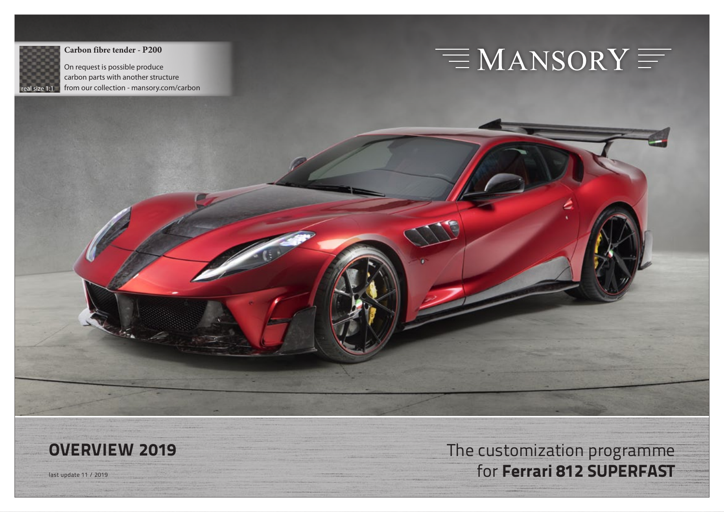

**Carbon fibre tender - P200**

On request is possible produce carbon parts with another structure from our collection - mansory.com/carbon

# $\equiv$  MANSORY  $\equiv$

**OVERVIEW 2019** The customization programme Hast update 11 / 2019 **for Ferrari 812 SUPERFAST**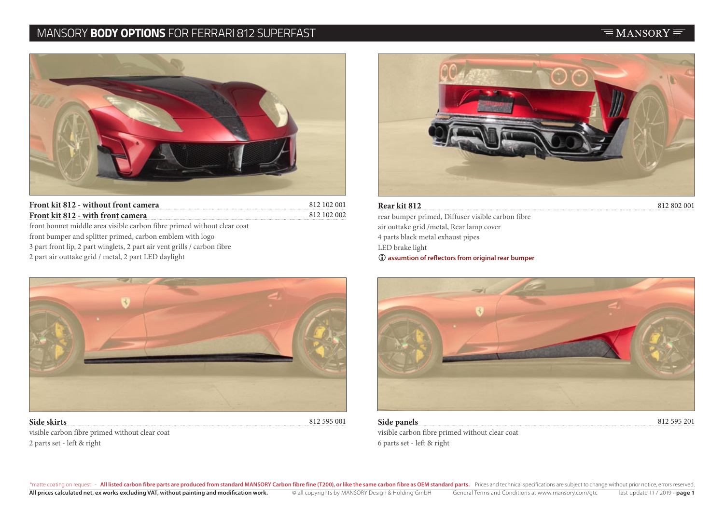#### MANSORY **BODY OPTIONS** FOR FERRARI 812 SUPERFAST



812 102 001 812 102 002 **Front kit 812 - with front camera** front bonnet middle area visible carbon fibre primed without clear coat front bumper and splitter primed, carbon emblem with logo 3 part front lip, 2 part winglets, 2 part air vent grills / carbon fibre 2 part air outtake grid / metal, 2 part LED daylight



**Front kit 812 - without front camera** 812 802 001 **Rear kit 812**  rear bumper primed, Diffuser visible carbon fibre air outtake grid /metal, Rear lamp cover 4 parts black metal exhaust pipes LED brake light  **assumtion of reflectors from original rear bumper**



**Side skirts** visible carbon fibre primed without clear coat 2 parts set - left & right

812 595 001 **Side panels** 

visible carbon fibre primed without clear coat 6 parts set - left & right

812 595 201

#### $\equiv$ MANSORY $\equiv$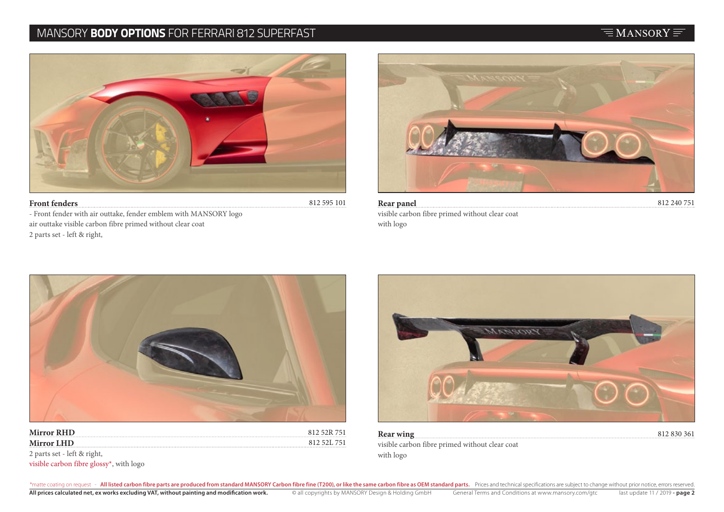### MANSORY **BODY OPTIONS** FOR FERRARI 812 SUPERFAST



- Front fender with air outtake, fender emblem with MANSORY logo air outtake visible carbon fibre primed without clear coat 2 parts set - left & right,



**Rear panel** 812 240 751 visible carbon fibre primed without clear coat with logo



| <b>Mirror RHD</b> | $X \cup Y$          |
|-------------------|---------------------|
| <b>Mirror LHD</b> | 812.521.<br>751<br> |



**Rear wing** 812 830 361 visible carbon fibre primed without clear coat with logo

2 parts set - left & right,

visible carbon fibre glossy\*, with logo

# $\equiv$ MANSORY $\equiv$

\*matte coating on request - All listed carbon fibre parts are produced from standard MANSORY Carbon fibre fine (T200), or like the same carbon fibre as OEM standard parts. Prices and technical specifications are subject to All prices calculated net, ex works excluding VAT, without painting and modification work. © all copyrights by MANSORY Design & Holding GmbH General Terms and Conditions at www.mansory.com/gtc last update 11 / 2019 - page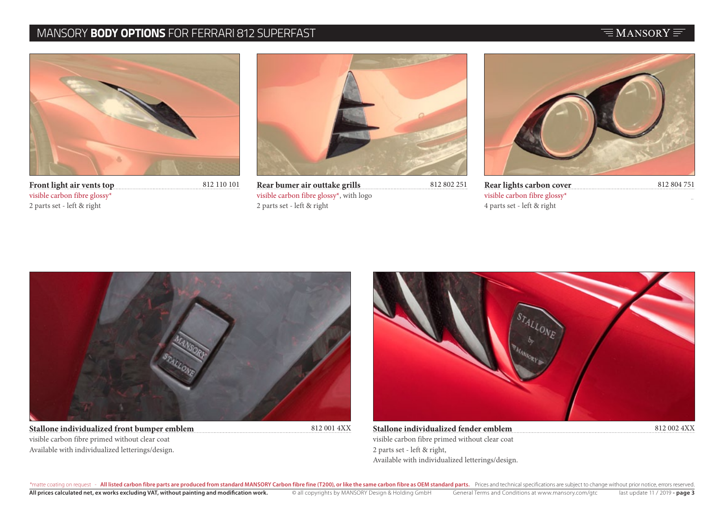### MANSORY **BODY OPTIONS** FOR FERRARI 812 SUPERFAST

#### $\equiv$ MANSORY $\equiv$



**Front light air vents top** visible carbon fibre glossy\* 2 parts set - left & right



812 110 101 **Rear bumer air outtake grills** 812 802 251 **Rear lights carbon cover** 812 804 751 visible carbon fibre glossy\*, with logo 2 parts set - left & right



**Rear lights carbon cover** visible carbon fibre glossy\* 4 parts set - left & right



**Stallone individualized front bumper emblem** visible carbon fibre primed without clear coat Available with individualized letterings/design.



812 001 4XX **Stallone individualized fender emblem** 812 002 4XX visible carbon fibre primed without clear coat 2 parts set - left & right, Available with individualized letterings/design.

\*matte coating on request - All listed carbon fibre parts are produced from standard MANSORY Carbon fibre fine (T200), or like the same carbon fibre as OEM standard parts. Prices and technical specifications are subject to All prices calculated net, ex works excluding VAT, without painting and modification work. © all copyrights by MANSORY Design & Holding GmbH General Terms and Conditions at www.mansory.com/gtc last update 11 / 2019 - page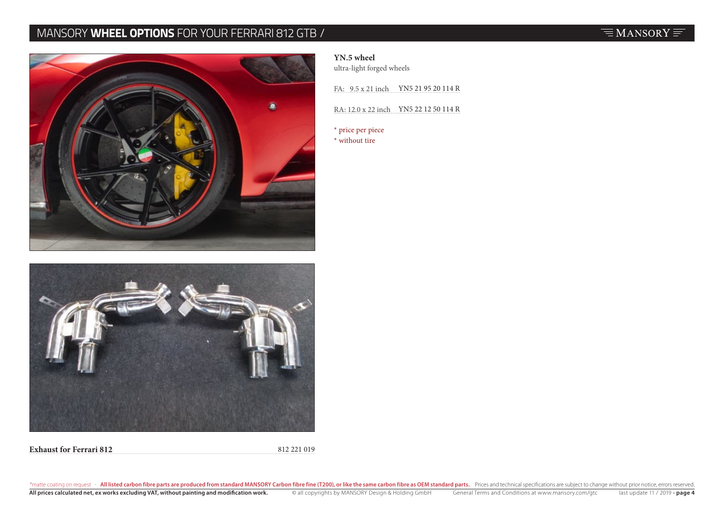# MANSORY **WHEEL OPTIONS** FOR YOUR FERRARI 812 GTB /





**Exhaust for Ferrari 812** 812 221 019

#### **YN.5 wheel**

ultra-light forged wheels

FA:  $9.5 \times 21$  inch YN5 21 95 20 114 R

RA: 12.0 x 22 inch YN5 22 12 50 114 R

\* price per piece \* without tire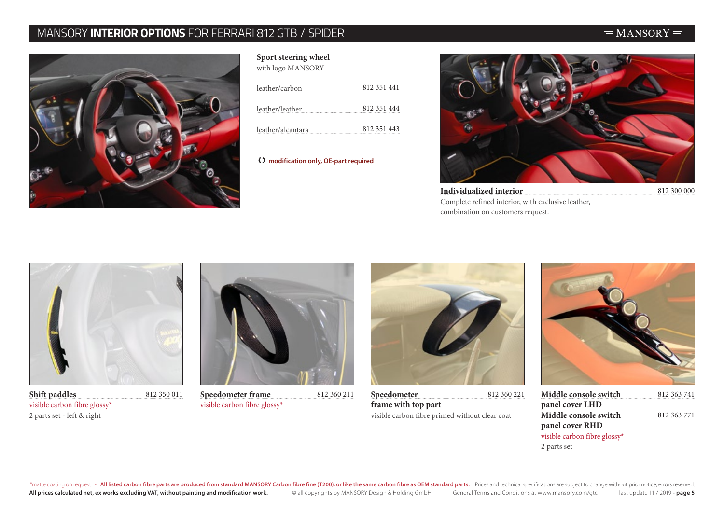# MANSORY **INTERIOR OPTIONS** FOR FERRARI 812 GTB / SPIDER



| Sport steering wheel |
|----------------------|
| with logo MANSORY    |

| leather/carbon    | 812 351 441 |
|-------------------|-------------|
| leather/leather   | 812 351 444 |
| leather/alcantara | 812 351 443 |

 **modification only, OE-part required**



**Individualized interior** 812 300 000 Complete refined interior, with exclusive leather, combination on customers request.

 $\equiv$ MANSORY $\equiv$ 



**Shift paddles** 812 350 011 visible carbon fibre glossy\* 2 parts set - left & right



visible carbon fibre glossy\*



**Speedometer frame** 812 360 211 **Speedometer** 812 360 221 **Speedometer frame with top part** visible carbon fibre primed without clear coat



| 812 363 741 |
|-------------|
|             |
| 812 363 771 |
|             |
|             |
|             |
|             |

\*matte coating on request - All listed carbon fibre parts are produced from standard MANSORY Carbon fibre fine (T200), or like the same carbon fibre as OEM standard parts. Prices and technical specifications are subject to All prices calculated net, ex works excluding VAT, without painting and modification work. 
Individad behaviors and Conditions at www.mansory.com/gtc last update 11 / 2019 - page 5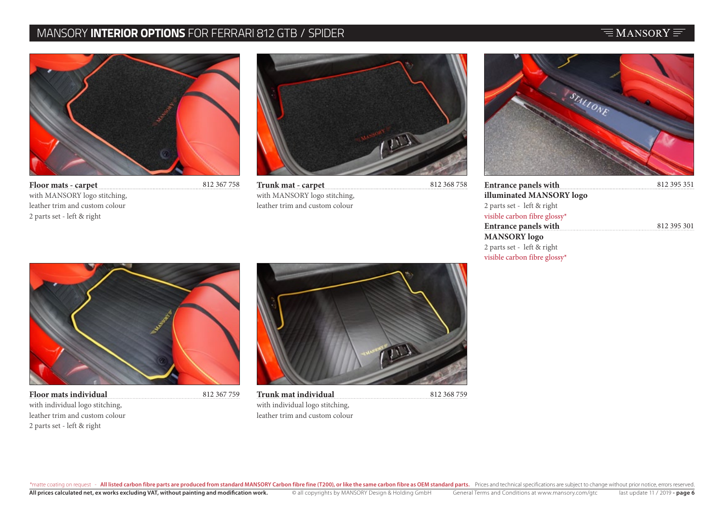# MANSORY **INTERIOR OPTIONS** FOR FERRARI 812 GTB / SPIDER

#### $\equiv$ MANSORY $\equiv$



**Floor mats - carpet** with MANSORY logo stitching, leather trim and custom colour 2 parts set - left & right



812 368 758 **Trunk mat - carpet** with MANSORY logo stitching, leather trim and custom colour



| <b>Entrance panels with</b>  | 812 395 351 |
|------------------------------|-------------|
| illuminated MANSORY logo     |             |
| 2 parts set - left & right   |             |
| visible carbon fibre glossy* |             |
| <b>Entrance panels with</b>  | 812 395 301 |
| <b>MANSORY</b> logo          |             |
| 2 parts set - left & right   |             |
| visible carbon fibre glossy* |             |



812 367 759

**Floor mats individual** with individual logo stitching, leather trim and custom colour 2 parts set - left & right



**Trunk mat individual** with individual logo stitching, leather trim and custom colour

812 368 759